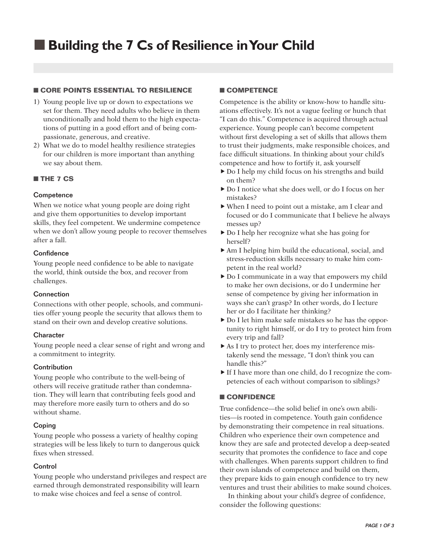# ■ **Core Points Essential to Resilience**

- 1) Young people live up or down to expectations we set for them. They need adults who believe in them unconditionally and hold them to the high expectations of putting in a good effort and of being compassionate, generous, and creative.
- 2) What we do to model healthy resilience strategies for our children is more important than anything we say about them.

## ■ **The 7 Cs**

### **Competence**

When we notice what young people are doing right and give them opportunities to develop important skills, they feel competent. We undermine competence when we don't allow young people to recover themselves after a fall.

## **Confidence**

Young people need confidence to be able to navigate the world, think outside the box, and recover from challenges.

#### Connection

Connections with other people, schools, and communities offer young people the security that allows them to stand on their own and develop creative solutions.

#### **Character**

Young people need a clear sense of right and wrong and a commitment to integrity.

#### **Contribution**

Young people who contribute to the well-being of others will receive gratitude rather than condemnation. They will learn that contributing feels good and may therefore more easily turn to others and do so without shame.

## Coping

Young people who possess a variety of healthy coping strategies will be less likely to turn to dangerous quick fixes when stressed.

#### Control

Young people who understand privileges and respect are earned through demonstrated responsibility will learn to make wise choices and feel a sense of control.

### ■ **Competence**

Competence is the ability or know-how to handle situations effectively. It's not a vague feeling or hunch that "I can do this." Competence is acquired through actual experience. Young people can't become competent without first developing a set of skills that allows them to trust their judgments, make responsible choices, and face difficult situations. In thinking about your child's competence and how to fortify it, ask yourself

- Do I help my child focus on his strengths and build on them?
- ▶ Do I notice what she does well, or do I focus on her mistakes?
- When I need to point out a mistake, am I clear and focused or do I communicate that I believe he always messes up?
- Do I help her recognize what she has going for herself?
- Am I helping him build the educational, social, and stress-reduction skills necessary to make him competent in the real world?
- Do I communicate in a way that empowers my child to make her own decisions, or do I undermine her sense of competence by giving her information in ways she can't grasp? In other words, do I lecture her or do I facilitate her thinking?
- Do I let him make safe mistakes so he has the opportunity to right himself, or do I try to protect him from every trip and fall?
- As I try to protect her, does my interference mistakenly send the message, "I don't think you can handle this?"
- If I have more than one child, do I recognize the competencies of each without comparison to siblings?

#### ■ **Confidence**

True confidence—the solid belief in one's own abilities—is rooted in competence. Youth gain confidence by demonstrating their competence in real situations. Children who experience their own competence and know they are safe and protected develop a deep-seated security that promotes the confidence to face and cope with challenges. When parents support children to find their own islands of competence and build on them, they prepare kids to gain enough confidence to try new ventures and trust their abilities to make sound choices.

In thinking about your child's degree of confidence, consider the following questions: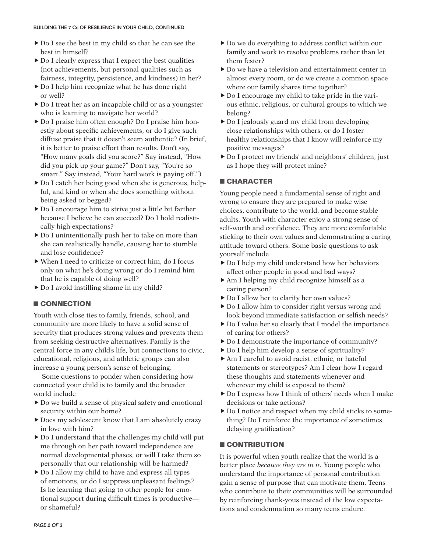- Do I see the best in my child so that he can see the best in himself?
- $\triangleright$  Do I clearly express that I expect the best qualities (not achievements, but personal qualities such as fairness, integrity, persistence, and kindness) in her?
- ▶ Do I help him recognize what he has done right or well?
- ▶ Do I treat her as an incapable child or as a youngster who is learning to navigate her world?
- ▶ Do I praise him often enough? Do I praise him honestly about specific achievements, or do I give such diffuse praise that it doesn't seem authentic? (In brief, it is better to praise effort than results. Don't say, "How many goals did you score?" Say instead, "How did you pick up your game?" Don't say, "You're so smart." Say instead, "Your hard work is paying off.")
- ▶ Do I catch her being good when she is generous, helpful, and kind or when she does something without being asked or begged?
- Do I encourage him to strive just a little bit farther because I believe he can succeed? Do I hold realistically high expectations?
- Do I unintentionally push her to take on more than she can realistically handle, causing her to stumble and lose confidence?
- When I need to criticize or correct him, do I focus only on what he's doing wrong or do I remind him that he is capable of doing well?
- $\blacktriangleright$  Do I avoid instilling shame in my child?

# ■ **Connection**

Youth with close ties to family, friends, school, and community are more likely to have a solid sense of security that produces strong values and prevents them from seeking destructive alternatives. Family is the central force in any child's life, but connections to civic, educational, religious, and athletic groups can also increase a young person's sense of belonging.

Some questions to ponder when considering how connected your child is to family and the broader world include

- Do we build a sense of physical safety and emotional security within our home?
- Does my adolescent know that I am absolutely crazy in love with him?
- Do I understand that the challenges my child will put me through on her path toward independence are normal developmental phases, or will I take them so personally that our relationship will be harmed?
- $\triangleright$  Do I allow my child to have and express all types of emotions, or do I suppress unpleasant feelings? Is he learning that going to other people for emotional support during difficult times is productive or shameful?
- $\triangleright$  Do we do everything to address conflict within our family and work to resolve problems rather than let them fester?
- Do we have a television and entertainment center in almost every room, or do we create a common space where our family shares time together?
- Do I encourage my child to take pride in the various ethnic, religious, or cultural groups to which we belong?
- ▶ Do I jealously guard my child from developing close relationships with others, or do I foster healthy relationships that I know will reinforce my positive messages?
- Do I protect my friends' and neighbors' children, just as I hope they will protect mine?

# ■ **Character**

Young people need a fundamental sense of right and wrong to ensure they are prepared to make wise choices, contribute to the world, and become stable adults. Youth with character enjoy a strong sense of self-worth and confidence. They are more comfortable sticking to their own values and demonstrating a caring attitude toward others. Some basic questions to ask yourself include

- ▶ Do I help my child understand how her behaviors affect other people in good and bad ways?
- Am I helping my child recognize himself as a caring person?
- ▶ Do I allow her to clarify her own values?
- $\triangleright$  Do I allow him to consider right versus wrong and look beyond immediate satisfaction or selfish needs?
- ▶ Do I value her so clearly that I model the importance of caring for others?
- $\triangleright$  Do I demonstrate the importance of community?
- ▶ Do I help him develop a sense of spirituality?
- Am I careful to avoid racist, ethnic, or hateful statements or stereotypes? Am I clear how I regard these thoughts and statements whenever and wherever my child is exposed to them?
- Do I express how I think of others' needs when I make decisions or take actions?
- $\triangleright$  Do I notice and respect when my child sticks to something? Do I reinforce the importance of sometimes delaying gratification?

# ■ **Contribution**

It is powerful when youth realize that the world is a better place *because they are in it.* Young people who understand the importance of personal contribution gain a sense of purpose that can motivate them. Teens who contribute to their communities will be surrounded by reinforcing thank-yous instead of the low expectations and condemnation so many teens endure.